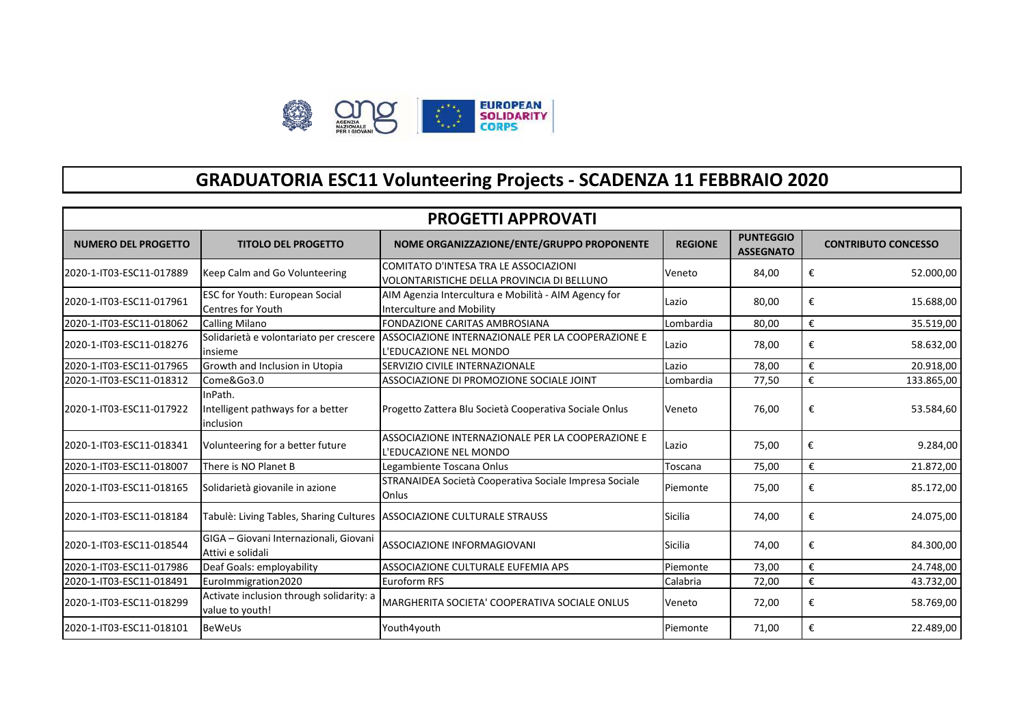

## **GRADUATORIA ESC11 Volunteering Projects - SCADENZA 11 FEBBRAIO 2020**

| <b>PROGETTI APPROVATI</b>  |                                                             |                                                                                          |                |                                      |                            |  |
|----------------------------|-------------------------------------------------------------|------------------------------------------------------------------------------------------|----------------|--------------------------------------|----------------------------|--|
| <b>NUMERO DEL PROGETTO</b> | <b>TITOLO DEL PROGETTO</b>                                  | NOME ORGANIZZAZIONE/ENTE/GRUPPO PROPONENTE                                               | <b>REGIONE</b> | <b>PUNTEGGIO</b><br><b>ASSEGNATO</b> | <b>CONTRIBUTO CONCESSO</b> |  |
| 2020-1-IT03-ESC11-017889   | Keep Calm and Go Volunteering                               | COMITATO D'INTESA TRA LE ASSOCIAZIONI<br>VOLONTARISTICHE DELLA PROVINCIA DI BELLUNO      | Veneto         | 84,00                                | €<br>52.000,00             |  |
| 2020-1-IT03-ESC11-017961   | ESC for Youth: European Social<br><b>Centres for Youth</b>  | AIM Agenzia Intercultura e Mobilità - AIM Agency for<br><b>Interculture and Mobility</b> | Lazio          | 80,00                                | €<br>15.688,00             |  |
| 2020-1-IT03-ESC11-018062   | <b>Calling Milano</b>                                       | <b>FONDAZIONE CARITAS AMBROSIANA</b>                                                     | Lombardia      | 80,00                                | €<br>35.519,00             |  |
| 2020-1-IT03-ESC11-018276   | Solidarietà e volontariato per crescere<br>insieme          | ASSOCIAZIONE INTERNAZIONALE PER LA COOPERAZIONE E<br>L'EDUCAZIONE NEL MONDO              | Lazio          | 78,00                                | €<br>58.632,00             |  |
| 2020-1-IT03-ESC11-017965   | Growth and Inclusion in Utopia                              | SERVIZIO CIVILE INTERNAZIONALE                                                           | Lazio          | 78,00                                | €<br>20.918,00             |  |
| 2020-1-IT03-ESC11-018312   | Come&Go3.0                                                  | ASSOCIAZIONE DI PROMOZIONE SOCIALE JOINT                                                 | Lombardia      | 77,50                                | €<br>133.865,00            |  |
| 2020-1-IT03-ESC11-017922   | InPath.<br>Intelligent pathways for a better<br>linclusion  | Progetto Zattera Blu Società Cooperativa Sociale Onlus                                   | Veneto         | 76,00                                | €<br>53.584,60             |  |
| 2020-1-IT03-ESC11-018341   | Volunteering for a better future                            | ASSOCIAZIONE INTERNAZIONALE PER LA COOPERAZIONE E<br>L'EDUCAZIONE NEL MONDO              | Lazio          | 75,00                                | €<br>9.284,00              |  |
| 2020-1-IT03-ESC11-018007   | There is NO Planet B                                        | Legambiente Toscana Onlus                                                                | Toscana        | 75,00                                | €<br>21.872,00             |  |
| 2020-1-IT03-ESC11-018165   | Solidarietà giovanile in azione                             | STRANAIDEA Società Cooperativa Sociale Impresa Sociale<br>Onlus                          | Piemonte       | 75,00                                | €<br>85.172,00             |  |
| 2020-1-IT03-ESC11-018184   | Tabulè: Living Tables, Sharing Cultures                     | <b>ASSOCIAZIONE CULTURALE STRAUSS</b>                                                    | <b>Sicilia</b> | 74,00                                | €<br>24.075,00             |  |
| 2020-1-IT03-ESC11-018544   | GIGA - Giovani Internazionali, Giovani<br>Attivi e solidali | <b>ASSOCIAZIONE INFORMAGIOVANI</b>                                                       | <b>Sicilia</b> | 74,00                                | €<br>84.300,00             |  |
| 2020-1-IT03-ESC11-017986   | Deaf Goals: employability                                   | ASSOCIAZIONE CULTURALE EUFEMIA APS                                                       | Piemonte       | 73,00                                | €<br>24.748,00             |  |
| 2020-1-IT03-ESC11-018491   | Eurolmmigration2020                                         | Euroform RFS                                                                             | Calabria       | 72,00                                | €<br>43.732,00             |  |
| 2020-1-IT03-ESC11-018299   | Activate inclusion through solidarity: a<br>value to youth! | MARGHERITA SOCIETA' COOPERATIVA SOCIALE ONLUS                                            | Veneto         | 72,00                                | €<br>58.769,00             |  |
| 2020-1-IT03-ESC11-018101   | <b>BeWeUs</b>                                               | Youth4youth                                                                              | Piemonte       | 71,00                                | €<br>22.489,00             |  |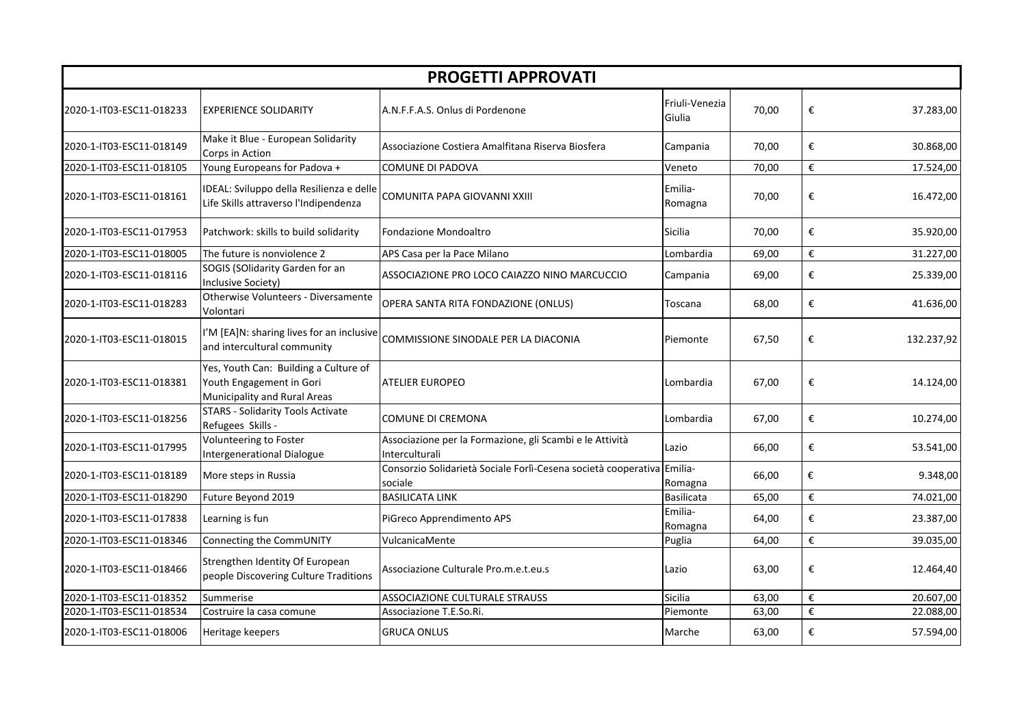| <b>PROGETTI APPROVATI</b> |                                                                                                   |                                                                                   |                          |       |   |            |
|---------------------------|---------------------------------------------------------------------------------------------------|-----------------------------------------------------------------------------------|--------------------------|-------|---|------------|
| 2020-1-IT03-ESC11-018233  | <b>EXPERIENCE SOLIDARITY</b>                                                                      | A.N.F.F.A.S. Onlus di Pordenone                                                   | Friuli-Venezia<br>Giulia | 70,00 | € | 37.283,00  |
| 2020-1-IT03-ESC11-018149  | Make it Blue - European Solidarity<br>Corps in Action                                             | Associazione Costiera Amalfitana Riserva Biosfera                                 | Campania                 | 70,00 | € | 30.868,00  |
| 2020-1-IT03-ESC11-018105  | Young Europeans for Padova +                                                                      | COMUNE DI PADOVA                                                                  | Veneto                   | 70,00 | € | 17.524,00  |
| 2020-1-IT03-ESC11-018161  | IDEAL: Sviluppo della Resilienza e delle<br>Life Skills attraverso l'Indipendenza                 | COMUNITA PAPA GIOVANNI XXIII                                                      | Emilia-<br>Romagna       | 70,00 | € | 16.472,00  |
| 2020-1-IT03-ESC11-017953  | Patchwork: skills to build solidarity                                                             | Fondazione Mondoaltro                                                             | <b>Sicilia</b>           | 70,00 | € | 35.920,00  |
| 2020-1-IT03-ESC11-018005  | The future is nonviolence 2                                                                       | APS Casa per la Pace Milano                                                       | Lombardia                | 69,00 | € | 31.227,00  |
| 2020-1-IT03-ESC11-018116  | SOGIS (SOlidarity Garden for an<br>Inclusive Society)                                             | ASSOCIAZIONE PRO LOCO CAIAZZO NINO MARCUCCIO                                      | Campania                 | 69,00 | € | 25.339,00  |
| 2020-1-IT03-ESC11-018283  | Otherwise Volunteers - Diversamente<br>Volontari                                                  | OPERA SANTA RITA FONDAZIONE (ONLUS)                                               | Toscana                  | 68,00 | € | 41.636,00  |
| 2020-1-IT03-ESC11-018015  | I'M [EA]N: sharing lives for an inclusive<br>and intercultural community                          | COMMISSIONE SINODALE PER LA DIACONIA                                              | Piemonte                 | 67,50 | € | 132.237,92 |
| 2020-1-IT03-ESC11-018381  | Yes, Youth Can: Building a Culture of<br>Youth Engagement in Gori<br>Municipality and Rural Areas | <b>ATELIER EUROPEO</b>                                                            | Lombardia                | 67,00 | € | 14.124,00  |
| 2020-1-IT03-ESC11-018256  | <b>STARS - Solidarity Tools Activate</b><br>Refugees Skills -                                     | COMUNE DI CREMONA                                                                 | Lombardia                | 67,00 | € | 10.274,00  |
| 2020-1-IT03-ESC11-017995  | Volunteering to Foster<br>Intergenerational Dialogue                                              | Associazione per la Formazione, gli Scambi e le Attività<br>Interculturali        | Lazio                    | 66,00 | € | 53.541,00  |
| 2020-1-IT03-ESC11-018189  | More steps in Russia                                                                              | Consorzio Solidarietà Sociale Forlì-Cesena società cooperativa Emilia-<br>sociale | Romagna                  | 66,00 | € | 9.348,00   |
| 2020-1-IT03-ESC11-018290  | Future Beyond 2019                                                                                | <b>BASILICATA LINK</b>                                                            | Basilicata               | 65,00 | € | 74.021,00  |
| 2020-1-IT03-ESC11-017838  | Learning is fun                                                                                   | PiGreco Apprendimento APS                                                         | Emilia-<br>Romagna       | 64,00 | € | 23.387,00  |
| 2020-1-IT03-ESC11-018346  | Connecting the CommUNITY                                                                          | VulcanicaMente                                                                    | Puglia                   | 64,00 | € | 39.035,00  |
| 2020-1-IT03-ESC11-018466  | Strengthen Identity Of European<br>people Discovering Culture Traditions                          | Associazione Culturale Pro.m.e.t.eu.s                                             | Lazio                    | 63,00 | € | 12.464,40  |
| 2020-1-IT03-ESC11-018352  | Summerise                                                                                         | ASSOCIAZIONE CULTURALE STRAUSS                                                    | <b>Sicilia</b>           | 63,00 | € | 20.607,00  |
| 2020-1-IT03-ESC11-018534  | Costruire la casa comune                                                                          | Associazione T.E.So.Ri.                                                           | Piemonte                 | 63,00 | € | 22.088,00  |
| 2020-1-IT03-ESC11-018006  | Heritage keepers                                                                                  | <b>GRUCA ONLUS</b>                                                                | Marche                   | 63,00 | € | 57.594,00  |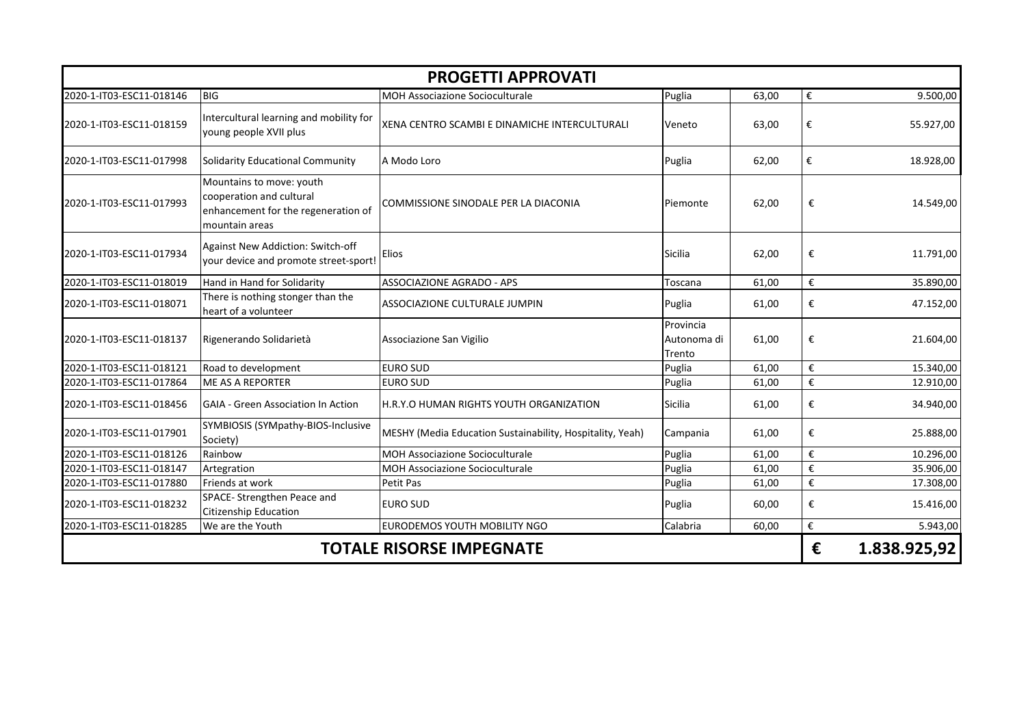| <b>PROGETTI APPROVATI</b>       |                                                                                                               |                                                           |                                    |       |                         |              |
|---------------------------------|---------------------------------------------------------------------------------------------------------------|-----------------------------------------------------------|------------------------------------|-------|-------------------------|--------------|
| 2020-1-IT03-ESC11-018146        | <b>BIG</b>                                                                                                    | <b>MOH Associazione Socioculturale</b>                    | Puglia                             | 63,00 | €                       | 9.500,00     |
| 2020-1-IT03-ESC11-018159        | Intercultural learning and mobility for<br>young people XVII plus                                             | XENA CENTRO SCAMBI E DINAMICHE INTERCULTURALI             | Veneto                             | 63,00 | €                       | 55.927,00    |
| 2020-1-IT03-ESC11-017998        | Solidarity Educational Community                                                                              | A Modo Loro                                               | Puglia                             | 62,00 | €                       | 18.928,00    |
| 2020-1-IT03-ESC11-017993        | Mountains to move: youth<br>cooperation and cultural<br>enhancement for the regeneration of<br>mountain areas | COMMISSIONE SINODALE PER LA DIACONIA                      | Piemonte                           | 62,00 | €                       | 14.549,00    |
| 2020-1-IT03-ESC11-017934        | Against New Addiction: Switch-off<br>your device and promote street-sport!                                    | Elios                                                     | Sicilia                            | 62,00 | €                       | 11.791,00    |
| 2020-1-IT03-ESC11-018019        | Hand in Hand for Solidarity                                                                                   | <b>ASSOCIAZIONE AGRADO - APS</b>                          | Toscana                            | 61,00 | €                       | 35.890,00    |
| 2020-1-IT03-ESC11-018071        | There is nothing stonger than the<br>heart of a volunteer                                                     | ASSOCIAZIONE CULTURALE JUMPIN                             | Puglia                             | 61,00 | €                       | 47.152,00    |
| 2020-1-IT03-ESC11-018137        | Rigenerando Solidarietà                                                                                       | Associazione San Vigilio                                  | Provincia<br>Autonoma di<br>Trento | 61,00 | €                       | 21.604,00    |
| 2020-1-IT03-ESC11-018121        | Road to development                                                                                           | <b>EURO SUD</b>                                           | Puglia                             | 61,00 | €                       | 15.340,00    |
| 2020-1-IT03-ESC11-017864        | <b>ME AS A REPORTER</b>                                                                                       | <b>EURO SUD</b>                                           | Puglia                             | 61,00 | $\boldsymbol{\epsilon}$ | 12.910,00    |
| 2020-1-IT03-ESC11-018456        | <b>GAIA - Green Association In Action</b>                                                                     | H.R.Y.O HUMAN RIGHTS YOUTH ORGANIZATION                   | Sicilia                            | 61,00 | €                       | 34.940,00    |
| 2020-1-IT03-ESC11-017901        | SYMBIOSIS (SYMpathy-BIOS-Inclusive<br>Society)                                                                | MESHY (Media Education Sustainability, Hospitality, Yeah) | Campania                           | 61,00 | €                       | 25.888,00    |
| 2020-1-IT03-ESC11-018126        | Rainbow                                                                                                       | <b>MOH Associazione Socioculturale</b>                    | Puglia                             | 61,00 | $\boldsymbol{\epsilon}$ | 10.296,00    |
| 2020-1-IT03-ESC11-018147        | Artegration                                                                                                   | <b>MOH Associazione Socioculturale</b>                    | Puglia                             | 61,00 | €                       | 35.906,00    |
| 2020-1-IT03-ESC11-017880        | Friends at work                                                                                               | Petit Pas                                                 | Puglia                             | 61,00 | €                       | 17.308,00    |
| 2020-1-IT03-ESC11-018232        | SPACE- Strengthen Peace and<br><b>Citizenship Education</b>                                                   | <b>EURO SUD</b>                                           | Puglia                             | 60,00 | €                       | 15.416,00    |
| 2020-1-IT03-ESC11-018285        | We are the Youth                                                                                              | EURODEMOS YOUTH MOBILITY NGO                              | Calabria                           | 60,00 | €                       | 5.943,00     |
| <b>TOTALE RISORSE IMPEGNATE</b> |                                                                                                               |                                                           |                                    |       | €                       | 1.838.925,92 |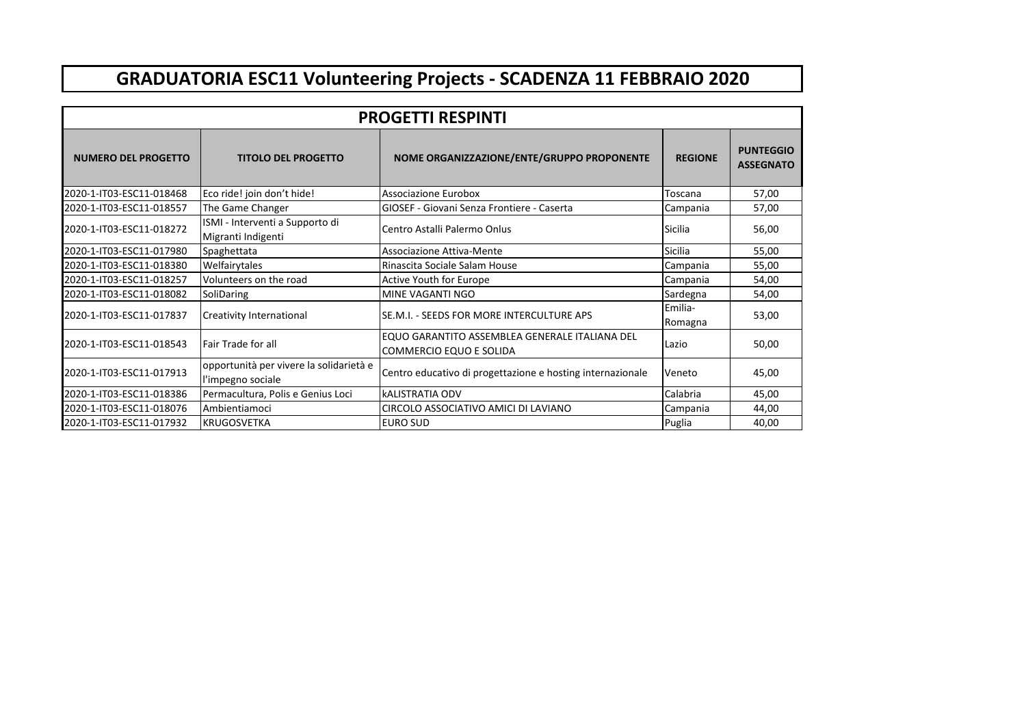## **GRADUATORIA ESC11 Volunteering Projects - SCADENZA 11 FEBBRAIO 2020**

| <b>PROGETTI RESPINTI</b>                                 |                                                              |                                                                           |                    |                                      |  |  |  |
|----------------------------------------------------------|--------------------------------------------------------------|---------------------------------------------------------------------------|--------------------|--------------------------------------|--|--|--|
| <b>NUMERO DEL PROGETTO</b><br><b>TITOLO DEL PROGETTO</b> |                                                              | NOME ORGANIZZAZIONE/ENTE/GRUPPO PROPONENTE                                | <b>REGIONE</b>     | <b>PUNTEGGIO</b><br><b>ASSEGNATO</b> |  |  |  |
| 2020-1-IT03-ESC11-018468                                 | Eco ride! join don't hide!                                   | Associazione Eurobox                                                      | Toscana            | 57,00                                |  |  |  |
| 2020-1-IT03-ESC11-018557                                 | The Game Changer                                             | GIOSEF - Giovani Senza Frontiere - Caserta                                | Campania           | 57,00                                |  |  |  |
| 2020-1-IT03-ESC11-018272                                 | ISMI - Interventi a Supporto di<br>Migranti Indigenti        | Centro Astalli Palermo Onlus                                              | <b>Sicilia</b>     | 56,00                                |  |  |  |
| 2020-1-IT03-ESC11-017980                                 | Spaghettata                                                  | Associazione Attiva-Mente                                                 | Sicilia            | 55,00                                |  |  |  |
| 2020-1-IT03-ESC11-018380                                 | Welfairytales                                                | Rinascita Sociale Salam House                                             | Campania           | 55,00                                |  |  |  |
| 2020-1-IT03-ESC11-018257                                 | Volunteers on the road                                       | Active Youth for Europe                                                   | Campania           | 54,00                                |  |  |  |
| 2020-1-IT03-ESC11-018082                                 | SoliDaring                                                   | MINE VAGANTI NGO                                                          | Sardegna           | 54,00                                |  |  |  |
| 2020-1-IT03-ESC11-017837                                 | Creativity International                                     | SE.M.I. - SEEDS FOR MORE INTERCULTURE APS                                 | Emilia-<br>Romagna | 53,00                                |  |  |  |
| 2020-1-IT03-ESC11-018543                                 | <b>Fair Trade for all</b>                                    | EQUO GARANTITO ASSEMBLEA GENERALE ITALIANA DEL<br>COMMERCIO EQUO E SOLIDA | Lazio              | 50,00                                |  |  |  |
| 2020-1-IT03-ESC11-017913                                 | opportunità per vivere la solidarietà e<br>l'impegno sociale | Centro educativo di progettazione e hosting internazionale                | Veneto             | 45,00                                |  |  |  |
| 2020-1-IT03-ESC11-018386                                 | Permacultura, Polis e Genius Loci                            | <b>kALISTRATIA ODV</b>                                                    | Calabria           | 45,00                                |  |  |  |
| 2020-1-IT03-ESC11-018076                                 | Ambientiamoci                                                | CIRCOLO ASSOCIATIVO AMICI DI LAVIANO                                      | Campania           | 44,00                                |  |  |  |
| 2020-1-IT03-ESC11-017932                                 | <b>KRUGOSVETKA</b>                                           | <b>EURO SUD</b>                                                           | Puglia             | 40,00                                |  |  |  |